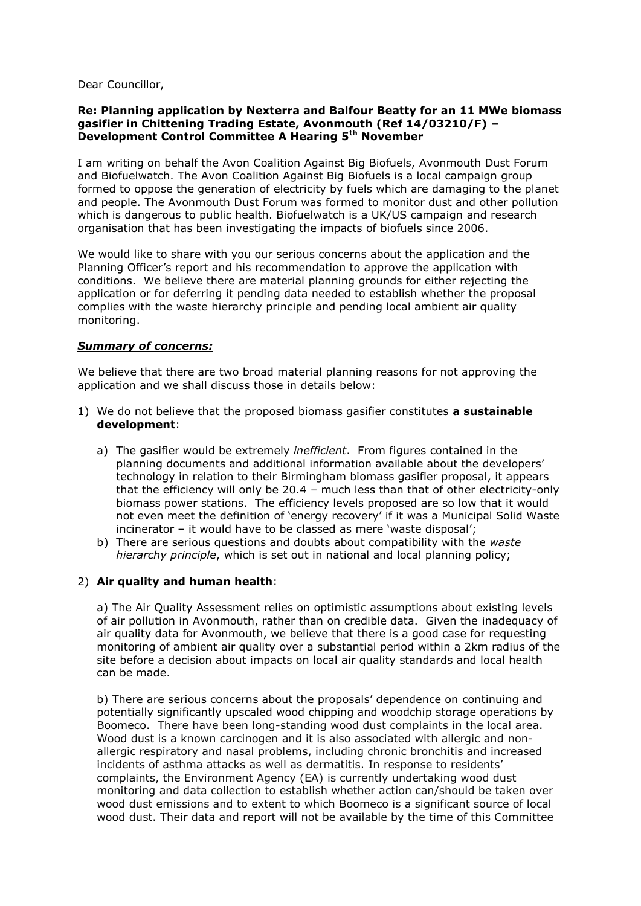Dear Councillor,

## **Re: Planning application by Nexterra and Balfour Beatty for an 11 MWe biomass gasifier in Chittening Trading Estate, Avonmouth (Ref 14/03210/F) – Development Control Committee A Hearing 5th November**

I am writing on behalf the Avon Coalition Against Big Biofuels, Avonmouth Dust Forum and Biofuelwatch. The Avon Coalition Against Big Biofuels is a local campaign group formed to oppose the generation of electricity by fuels which are damaging to the planet and people. The Avonmouth Dust Forum was formed to monitor dust and other pollution which is dangerous to public health. Biofuelwatch is a UK/US campaign and research organisation that has been investigating the impacts of biofuels since 2006.

We would like to share with you our serious concerns about the application and the Planning Officer's report and his recommendation to approve the application with conditions. We believe there are material planning grounds for either rejecting the application or for deferring it pending data needed to establish whether the proposal complies with the waste hierarchy principle and pending local ambient air quality monitoring.

## *Summary of concerns:*

We believe that there are two broad material planning reasons for not approving the application and we shall discuss those in details below:

- 1) We do not believe that the proposed biomass gasifier constitutes **a sustainable development**:
	- a) The gasifier would be extremely *inefficient*. From figures contained in the planning documents and additional information available about the developers' technology in relation to their Birmingham biomass gasifier proposal, it appears that the efficiency will only be 20.4 – much less than that of other electricity-only biomass power stations. The efficiency levels proposed are so low that it would not even meet the definition of 'energy recovery' if it was a Municipal Solid Waste incinerator – it would have to be classed as mere 'waste disposal';
	- b) There are serious questions and doubts about compatibility with the *waste hierarchy principle*, which is set out in national and local planning policy;

## 2) **Air quality and human health**:

a) The Air Quality Assessment relies on optimistic assumptions about existing levels of air pollution in Avonmouth, rather than on credible data. Given the inadequacy of air quality data for Avonmouth, we believe that there is a good case for requesting monitoring of ambient air quality over a substantial period within a 2km radius of the site before a decision about impacts on local air quality standards and local health can be made.

b) There are serious concerns about the proposals' dependence on continuing and potentially significantly upscaled wood chipping and woodchip storage operations by Boomeco. There have been long-standing wood dust complaints in the local area. Wood dust is a known carcinogen and it is also associated with allergic and nonallergic respiratory and nasal problems, including chronic bronchitis and increased incidents of asthma attacks as well as dermatitis. In response to residents' complaints, the Environment Agency (EA) is currently undertaking wood dust monitoring and data collection to establish whether action can/should be taken over wood dust emissions and to extent to which Boomeco is a significant source of local wood dust. Their data and report will not be available by the time of this Committee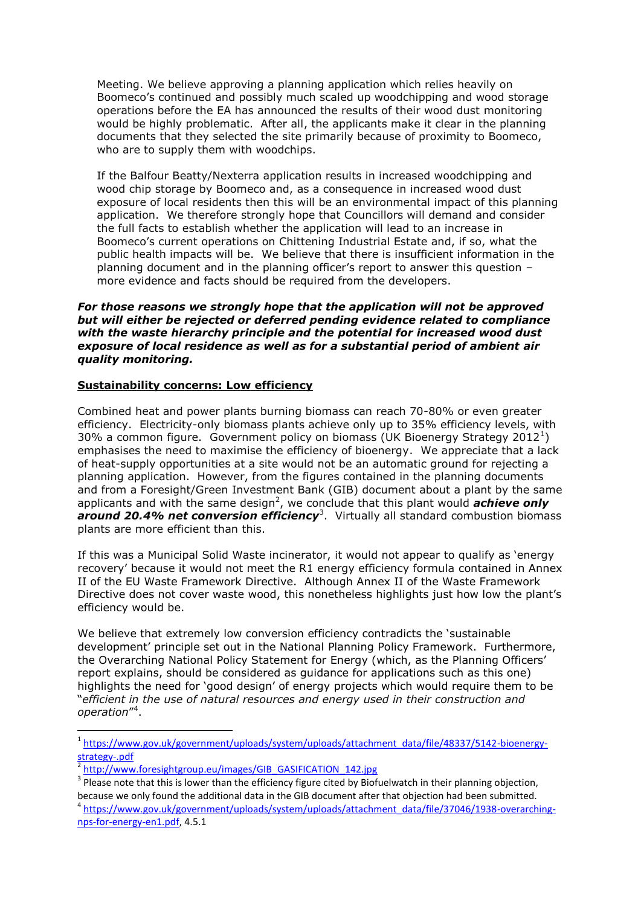Meeting. We believe approving a planning application which relies heavily on Boomeco's continued and possibly much scaled up woodchipping and wood storage operations before the EA has announced the results of their wood dust monitoring would be highly problematic. After all, the applicants make it clear in the planning documents that they selected the site primarily because of proximity to Boomeco, who are to supply them with woodchips.

If the Balfour Beatty/Nexterra application results in increased woodchipping and wood chip storage by Boomeco and, as a consequence in increased wood dust exposure of local residents then this will be an environmental impact of this planning application. We therefore strongly hope that Councillors will demand and consider the full facts to establish whether the application will lead to an increase in Boomeco's current operations on Chittening Industrial Estate and, if so, what the public health impacts will be. We believe that there is insufficient information in the planning document and in the planning officer's report to answer this question – more evidence and facts should be required from the developers.

# *For those reasons we strongly hope that the application will not be approved but will either be rejected or deferred pending evidence related to compliance with the waste hierarchy principle and the potential for increased wood dust exposure of local residence as well as for a substantial period of ambient air quality monitoring.*

# **Sustainability concerns: Low efficiency**

Combined heat and power plants burning biomass can reach 70-80% or even greater efficiency. Electricity-only biomass plants achieve only up to 35% efficiency levels, with 30% a common figure. Government policy on biomass (UK Bioenergy Strategy 2012<sup>1</sup>) emphasises the need to maximise the efficiency of bioenergy. We appreciate that a lack of heat-supply opportunities at a site would not be an automatic ground for rejecting a planning application. However, from the figures contained in the planning documents and from a Foresight/Green Investment Bank (GIB) document about a plant by the same applicants and with the same design<sup>2</sup>, we conclude that this plant would *achieve only* around 20.4% net conversion efficiency<sup>3</sup>. Virtually all standard combustion biomass plants are more efficient than this.

If this was a Municipal Solid Waste incinerator, it would not appear to qualify as 'energy recovery' because it would not meet the R1 energy efficiency formula contained in Annex II of the EU Waste Framework Directive. Although Annex II of the Waste Framework Directive does not cover waste wood, this nonetheless highlights just how low the plant's efficiency would be.

We believe that extremely low conversion efficiency contradicts the 'sustainable development' principle set out in the National Planning Policy Framework. Furthermore, the Overarching National Policy Statement for Energy (which, as the Planning Officers' report explains, should be considered as guidance for applications such as this one) highlights the need for 'good design' of energy projects which would require them to be "*efficient in the use of natural resources and energy used in their construction and operation*" 4 .

 $\overline{a}$ 

<sup>&</sup>lt;sup>1</sup>[https://www.gov.uk/government/uploads/system/uploads/attachment\\_data/file/48337/5142-bioenergy](https://www.gov.uk/government/uploads/system/uploads/attachment_data/file/48337/5142-bioenergy-strategy-.pdf)[strategy-.pdf](https://www.gov.uk/government/uploads/system/uploads/attachment_data/file/48337/5142-bioenergy-strategy-.pdf)

<sup>&</sup>lt;sup>2</sup> [http://www.foresightgroup.eu/images/GIB\\_GASIFICATION\\_142.jpg](http://www.foresightgroup.eu/images/GIB_GASIFICATION_142.jpg)

 $3$  Please note that this is lower than the efficiency figure cited by Biofuelwatch in their planning objection, because we only found the additional data in the GIB document after that objection had been submitted.

<sup>&</sup>lt;sup>4</sup> [https://www.gov.uk/government/uploads/system/uploads/attachment\\_data/file/37046/1938-overarching](https://www.gov.uk/government/uploads/system/uploads/attachment_data/file/37046/1938-overarching-nps-for-energy-en1.pdf)[nps-for-energy-en1.pdf,](https://www.gov.uk/government/uploads/system/uploads/attachment_data/file/37046/1938-overarching-nps-for-energy-en1.pdf) 4.5.1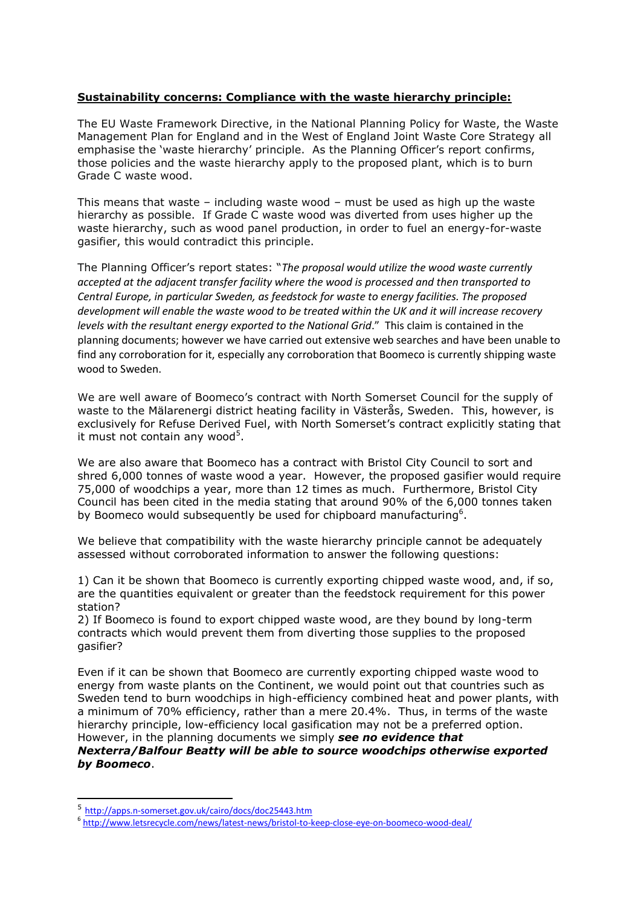# **Sustainability concerns: Compliance with the waste hierarchy principle:**

The EU Waste Framework Directive, in the National Planning Policy for Waste, the Waste Management Plan for England and in the West of England Joint Waste Core Strategy all emphasise the 'waste hierarchy' principle. As the Planning Officer's report confirms, those policies and the waste hierarchy apply to the proposed plant, which is to burn Grade C waste wood.

This means that waste – including waste wood – must be used as high up the waste hierarchy as possible. If Grade C waste wood was diverted from uses higher up the waste hierarchy, such as wood panel production, in order to fuel an energy-for-waste gasifier, this would contradict this principle.

The Planning Officer's report states: "*The proposal would utilize the wood waste currently accepted at the adjacent transfer facility where the wood is processed and then transported to Central Europe, in particular Sweden, as feedstock for waste to energy facilities. The proposed development will enable the waste wood to be treated within the UK and it will increase recovery levels with the resultant energy exported to the National Grid*." This claim is contained in the planning documents; however we have carried out extensive web searches and have been unable to find any corroboration for it, especially any corroboration that Boomeco is currently shipping waste wood to Sweden.

We are well aware of Boomeco's contract with North Somerset Council for the supply of waste to the Mälarenergi district heating facility in Västerås, Sweden. This, however, is exclusively for Refuse Derived Fuel, with North Somerset's contract explicitly stating that it must not contain any wood $5$ .

We are also aware that Boomeco has a contract with Bristol City Council to sort and shred 6,000 tonnes of waste wood a year. However, the proposed gasifier would require 75,000 of woodchips a year, more than 12 times as much. Furthermore, Bristol City Council has been cited in the media stating that around 90% of the 6,000 tonnes taken by Boomeco would subsequently be used for chipboard manufacturing<sup>6</sup>.

We believe that compatibility with the waste hierarchy principle cannot be adequately assessed without corroborated information to answer the following questions:

1) Can it be shown that Boomeco is currently exporting chipped waste wood, and, if so, are the quantities equivalent or greater than the feedstock requirement for this power station?

2) If Boomeco is found to export chipped waste wood, are they bound by long-term contracts which would prevent them from diverting those supplies to the proposed gasifier?

Even if it can be shown that Boomeco are currently exporting chipped waste wood to energy from waste plants on the Continent, we would point out that countries such as Sweden tend to burn woodchips in high-efficiency combined heat and power plants, with a minimum of 70% efficiency, rather than a mere 20.4%. Thus, in terms of the waste hierarchy principle, low-efficiency local gasification may not be a preferred option. However, in the planning documents we simply *see no evidence that* 

*Nexterra/Balfour Beatty will be able to source woodchips otherwise exported by Boomeco*.

 $\overline{a}$ 

<sup>5</sup> <http://apps.n-somerset.gov.uk/cairo/docs/doc25443.htm>

<sup>6</sup> <http://www.letsrecycle.com/news/latest-news/bristol-to-keep-close-eye-on-boomeco-wood-deal/>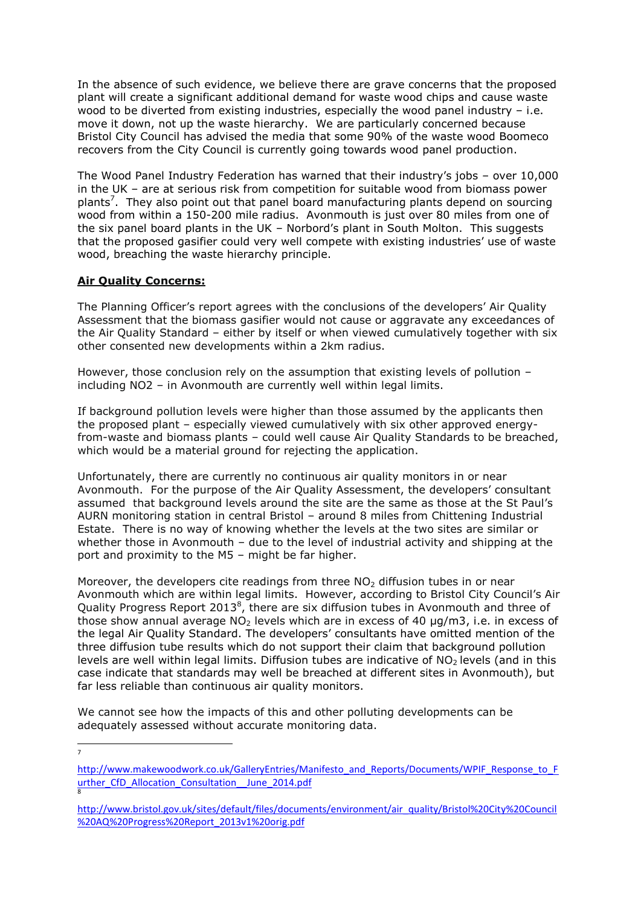In the absence of such evidence, we believe there are grave concerns that the proposed plant will create a significant additional demand for waste wood chips and cause waste wood to be diverted from existing industries, especially the wood panel industry - i.e. move it down, not up the waste hierarchy. We are particularly concerned because Bristol City Council has advised the media that some 90% of the waste wood Boomeco recovers from the City Council is currently going towards wood panel production.

The Wood Panel Industry Federation has warned that their industry's jobs – over 10,000 in the UK – are at serious risk from competition for suitable wood from biomass power plants<sup>7</sup>. They also point out that panel board manufacturing plants depend on sourcing wood from within a 150-200 mile radius. Avonmouth is just over 80 miles from one of the six panel board plants in the UK – Norbord's plant in South Molton. This suggests that the proposed gasifier could very well compete with existing industries' use of waste wood, breaching the waste hierarchy principle.

# **Air Quality Concerns:**

The Planning Officer's report agrees with the conclusions of the developers' Air Quality Assessment that the biomass gasifier would not cause or aggravate any exceedances of the Air Quality Standard – either by itself or when viewed cumulatively together with six other consented new developments within a 2km radius.

However, those conclusion rely on the assumption that existing levels of pollution – including NO2 – in Avonmouth are currently well within legal limits.

If background pollution levels were higher than those assumed by the applicants then the proposed plant – especially viewed cumulatively with six other approved energyfrom-waste and biomass plants – could well cause Air Quality Standards to be breached, which would be a material ground for rejecting the application.

Unfortunately, there are currently no continuous air quality monitors in or near Avonmouth. For the purpose of the Air Quality Assessment, the developers' consultant assumed that background levels around the site are the same as those at the St Paul's AURN monitoring station in central Bristol – around 8 miles from Chittening Industrial Estate. There is no way of knowing whether the levels at the two sites are similar or whether those in Avonmouth – due to the level of industrial activity and shipping at the port and proximity to the M5 – might be far higher.

Moreover, the developers cite readings from three  $NO<sub>2</sub>$  diffusion tubes in or near Avonmouth which are within legal limits. However, according to Bristol City Council's Air Quality Progress Report 2013 $^8$ , there are six diffusion tubes in Avonmouth and three of those show annual average  $NO<sub>2</sub>$  levels which are in excess of 40  $\mu$ g/m3, i.e. in excess of the legal Air Quality Standard. The developers' consultants have omitted mention of the three diffusion tube results which do not support their claim that background pollution levels are well within legal limits. Diffusion tubes are indicative of  $NO<sub>2</sub>$  levels (and in this case indicate that standards may well be breached at different sites in Avonmouth), but far less reliable than continuous air quality monitors.

We cannot see how the impacts of this and other polluting developments can be adequately assessed without accurate monitoring data.

-<br>7

[http://www.makewoodwork.co.uk/GalleryEntries/Manifesto\\_and\\_Reports/Documents/WPIF\\_Response\\_to\\_F](http://www.makewoodwork.co.uk/GalleryEntries/Manifesto_and_Reports/Documents/WPIF_Response_to_Further_CfD_Allocation_Consultation__June_2014.pdf) urther\_CfD\_Allocation\_Consultation\_June\_2014.pdf 8

[http://www.bristol.gov.uk/sites/default/files/documents/environment/air\\_quality/Bristol%20City%20Council](http://www.bristol.gov.uk/sites/default/files/documents/environment/air_quality/Bristol%20City%20Council%20AQ%20Progress%20Report_2013v1%20orig.pdf) [%20AQ%20Progress%20Report\\_2013v1%20orig.pdf](http://www.bristol.gov.uk/sites/default/files/documents/environment/air_quality/Bristol%20City%20Council%20AQ%20Progress%20Report_2013v1%20orig.pdf)